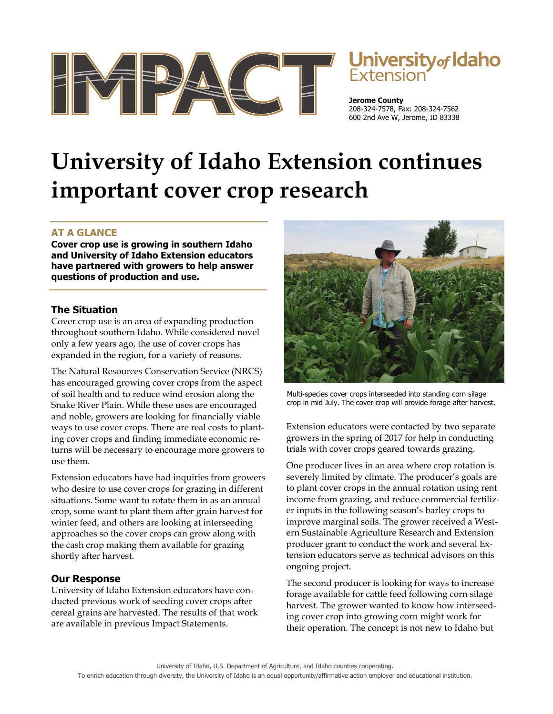

# **University of Idaho**<br>Extension

**Jerome County**  208-324-7578, Fax: 208-324-7562 600 2nd Ave W, Jerome, ID 83338

# **University of Idaho Extension continues important cover crop research**

# **AT A GLANCE**

**Cover crop use is growing in southern Idaho and University of Idaho Extension educators have partnered with growers to help answer questions of production and use.** 

### **The Situation**

Cover crop use is an area of expanding production throughout southern Idaho. While considered novel only a few years ago, the use of cover crops has expanded in the region, for a variety of reasons.

The Natural Resources Conservation Service (NRCS) has encouraged growing cover crops from the aspect of soil health and to reduce wind erosion along the Snake River Plain. While these uses are encouraged and noble, growers are looking for financially viable ways to use cover crops. There are real costs to planting cover crops and finding immediate economic returns will be necessary to encourage more growers to use them.

Extension educators have had inquiries from growers who desire to use cover crops for grazing in different situations. Some want to rotate them in as an annual crop, some want to plant them after grain harvest for winter feed, and others are looking at interseeding approaches so the cover crops can grow along with the cash crop making them available for grazing shortly after harvest.

## **Our Response**

University of Idaho Extension educators have conducted previous work of seeding cover crops after cereal grains are harvested. The results of that work are available in previous Impact Statements.



Multi-species cover crops interseeded into standing corn silage crop in mid July. The cover crop will provide forage after harvest.

Extension educators were contacted by two separate growers in the spring of 2017 for help in conducting trials with cover crops geared towards grazing.

One producer lives in an area where crop rotation is severely limited by climate. The producer's goals are to plant cover crops in the annual rotation using rent income from grazing, and reduce commercial fertilizer inputs in the following season's barley crops to improve marginal soils. The grower received a Western Sustainable Agriculture Research and Extension producer grant to conduct the work and several Extension educators serve as technical advisors on this ongoing project.

The second producer is looking for ways to increase forage available for cattle feed following corn silage harvest. The grower wanted to know how interseeding cover crop into growing corn might work for their operation. The concept is not new to Idaho but